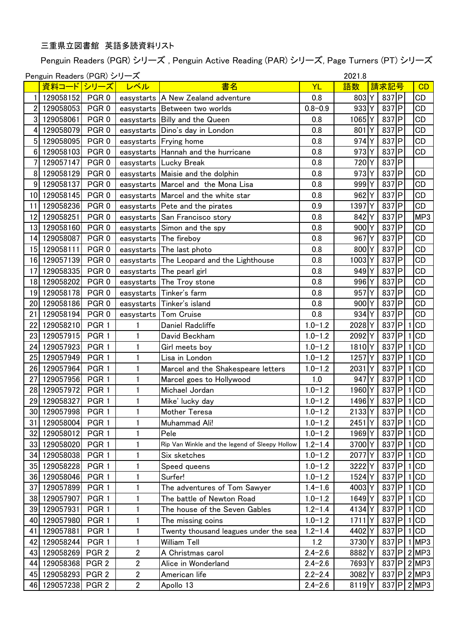## 三重県立図書館 英語多読資料リスト

Penguin Readers (PGR) シリーズ , Penguin Active Reading (PAR) シリーズ, Page Turners (PT) シリーズ

|      | 2021.8<br>Penguin Readers (PGR) シリーズ |                  |                |                                                |             |                   |              |                           |  |
|------|--------------------------------------|------------------|----------------|------------------------------------------------|-------------|-------------------|--------------|---------------------------|--|
|      | <u>資料コード シリーズ</u>                    |                  | レベル            | 書名                                             | YL          | 語数                | 請求記号         | CD                        |  |
|      | 129058152                            | PGR <sub>0</sub> |                | easystarts   A New Zealand adventure           | 0.8         | 803 Y             | $837$ $P$    | CD                        |  |
| 2    | 129058053                            | PGR <sub>0</sub> |                | easystarts Between two worlds                  | $0.8 - 0.9$ | 933 Y             | $837$ $P$    | CD                        |  |
| 3    | 129058061                            | PGR <sub>0</sub> |                | easystarts Billy and the Queen                 | 0.8         | 1065Y             | $837$ $P$    | <b>CD</b>                 |  |
| 4    | 129058079                            | PGR <sub>0</sub> |                | easystarts Dino's day in London                | 0.8         | 801Y              | $837$ $P$    | CD                        |  |
| 5    | 129058095                            | PGR <sub>0</sub> |                | easystarts Frying home                         | 0.8         | 974Y              | $837$ $ P $  | CD                        |  |
| 6    | 129058103                            | PGR <sub>0</sub> | easystarts     | Hannah and the hurricane                       | 0.8         | 973Y              | $837$ $ P $  | <b>CD</b>                 |  |
|      | 129057147                            | PGR <sub>0</sub> |                | easystarts Lucky Break                         | 0.8         | 720Y              | 837P         |                           |  |
| 8    | 129058129                            | PGR <sub>0</sub> |                | easystarts Maisie and the dolphin              | 0.8         | 973 Y             | $837$ $P$    | <b>CD</b>                 |  |
| 9    | 129058137                            | PGR <sub>0</sub> |                | easystarts Marcel and the Mona Lisa            | 0.8         | 999 Y             | $837$ P      | <b>CD</b>                 |  |
| 10   | 129058145                            | PGR <sub>0</sub> |                | easystarts Marcel and the white star           | 0.8         | 962Y              | $837$ $P$    | CD                        |  |
| 11   | 129058236                            | PGR <sub>0</sub> |                | easystarts Pete and the pirates                | 0.9         | 1397              | $837$ P      | CD                        |  |
| 12   | 129058251                            | PGR <sub>0</sub> | easystarts     | San Francisco story                            | 0.8         | 842 Y             | $837$ $P$    | MP3                       |  |
| 13   | 129058160                            | PGR <sub>0</sub> | easystarts     | Simon and the spy                              | 0.8         | 900 Y             | 837P         | CD                        |  |
| 14   | 129058087                            | PGR <sub>0</sub> |                | easystarts The fireboy                         | 0.8         | 967               | $837$ $P$    | <b>CD</b>                 |  |
| 15   | 129058111                            | PGR <sub>0</sub> | easystarts     | The last photo                                 | 0.8         | 800 Y             | $837$ $P$    | CD                        |  |
| 16   | 129057139                            | PGR <sub>0</sub> |                | easystarts The Leopard and the Lighthouse      | 0.8         | 1003Y             | $837$ P      | <b>CD</b>                 |  |
| 17   | 129058335                            | PGR <sub>0</sub> | easystarts     | The pearl girl                                 | 0.8         | 949 Y             | $837$ $P$    | <b>CD</b>                 |  |
| 18   | 129058202                            | PGR <sub>0</sub> | easystarts     | The Troy stone                                 | 0.8         | 996 Y             | 837P         | <b>CD</b>                 |  |
| 19   | 129058178                            | PGR <sub>0</sub> | easystarts     | Tinker's farm                                  | 0.8         | 957               | 837P         | <b>CD</b>                 |  |
| 20   | 129058186                            | PGR <sub>0</sub> | easystarts     | Tinker's island                                | 0.8         | 900 Y             | $837$ $P$    | <b>CD</b>                 |  |
| 21   | 129058194                            | PGR <sub>0</sub> | easystarts     | <b>Tom Cruise</b>                              | 0.8         | 934Y              | 837P         | <b>CD</b>                 |  |
| 22   | 129058210                            | PGR <sub>1</sub> |                | Daniel Radcliffe                               | $1.0 - 1.2$ | 2028 Y            | $837$ $P$    | <b>CD</b><br>1            |  |
| 23   | 129057915                            | PGR <sub>1</sub> |                | David Beckham                                  | $1.0 - 1.2$ | 2092Y             | 837P         | <b>CD</b>                 |  |
| 24   | 129057923                            | PGR <sub>1</sub> | 1              | Girl meets boy                                 | $1.0 - 1.2$ | 1810Y             | $837$ $P$    | 1 CD                      |  |
| 25   | 129057949                            | PGR <sub>1</sub> | 1              | Lisa in London                                 | $1.0 - 1.2$ | 1257 Y            | $837$ $P$    | 1 CD                      |  |
| 26   | 129057964                            | PGR <sub>1</sub> | 1              | Marcel and the Shakespeare letters             | $1.0 - 1.2$ | 2031              | 837P         | <b>CD</b>                 |  |
| 27   | 129057956                            | PGR <sub>1</sub> | 1              | Marcel goes to Hollywood                       | 1.0         | 947               | $837$ $P$    | 1 CD                      |  |
| 28   | 129057972                            | PGR <sub>1</sub> | $\mathbf{1}$   | Michael Jordan                                 | $1.0 - 1.2$ | 1960 <sub>Y</sub> | $837$ $P$    | <b>CD</b><br>$\mathbf{1}$ |  |
| 29   | 129058327                            | PGR <sub>1</sub> | 1              | Mike' lucky day                                | $1.0 - 1.2$ | 1496 Y            | $837$ P      | 1 CD                      |  |
|      | 30 129057998 PGR 1                   |                  | $\mathbf{1}$   | Mother Teresa                                  | $1.0 - 1.2$ | $2133$ Y          | 837 P 1 CD   |                           |  |
| 31   | 129058004                            | PGR <sub>1</sub> |                | Muhammad Ali!                                  | $1.0 - 1.2$ | 2451<br>ΙY        | 837 <b>P</b> | 1 CD                      |  |
|      | 32 129058012                         | PGR <sub>1</sub> | $\mathbf{1}$   | Pele                                           | $1.0 - 1.2$ | 1969 Y            | 837 <b>P</b> | 1 CD                      |  |
| 33   | 129058020                            | PGR <sub>1</sub> | 1              | Rip Van Winkle and the legend of Sleepy Hollow | $1.2 - 1.4$ | 3700Y             | 837 P        | 1 CD                      |  |
| 34   | 129058038                            | PGR <sub>1</sub> | $\mathbf{1}$   | Six sketches                                   | $1.0 - 1.2$ | 2077 Y            | 837P         | 1 CD                      |  |
| 35 I | 129058228                            | PGR <sub>1</sub> |                | Speed queens                                   | $1.0 - 1.2$ | 3222Y             | 837 P        | 1 CD                      |  |
| 36   | 129058046                            | PGR <sub>1</sub> | 1              | Surfer!                                        | $1.0 - 1.2$ | 1524Y             | 837 P        | 1 CD                      |  |
| 37   | 129057899                            | PGR <sub>1</sub> | 1              | The adventures of Tom Sawyer                   | $1.4 - 1.6$ | 4003Y             | 837 P        | 1 CD                      |  |
| 38   | 129057907                            | PGR <sub>1</sub> | 1              | The battle of Newton Road                      | $1.0 - 1.2$ | 1649 Y            | 837 <b>P</b> | 1 CD                      |  |
| 39   | 129057931                            | PGR <sub>1</sub> |                | The house of the Seven Gables                  | $1.2 - 1.4$ | 4134 Y            | 837 P        | 1 CD                      |  |
| 40   | 129057980                            | PGR <sub>1</sub> | 1              | The missing coins                              | $1.0 - 1.2$ | 1711              | 837 <b>P</b> | 1 CD                      |  |
| 41   | 129057881                            | PGR <sub>1</sub> | 1              | Twenty thousand leagues under the sea          | $1.2 - 1.4$ | 4402 Y            | 837 P        | 1 CD                      |  |
| 42   | 129058244                            | PGR <sub>1</sub> | 1              | William Tell                                   | 1.2         | 3730Y             | $837$ $P$    | $1$ MP3                   |  |
| 43   | 129058269 PGR 2                      |                  | $\overline{2}$ | A Christmas carol                              | $2.4 - 2.6$ | 8882Y             | 837 <b>P</b> | $2$ MP3                   |  |
| 44   | 129058368 PGR 2                      |                  | $\overline{2}$ | Alice in Wonderland                            | $2.4 - 2.6$ | 7693 Y            | 837 <b>P</b> | $2$ MP3                   |  |
| 45   | 129058293 PGR 2                      |                  | $\overline{2}$ | American life                                  | $2.2 - 2.4$ | 3082Y             | 837 <b>P</b> | $2$ MP3                   |  |
| 46   | 129057238                            | PGR <sub>2</sub> | $\overline{2}$ | Apollo 13                                      | $2.4 - 2.6$ | 8119Y             | 837 <b>P</b> | $2$ MP3                   |  |